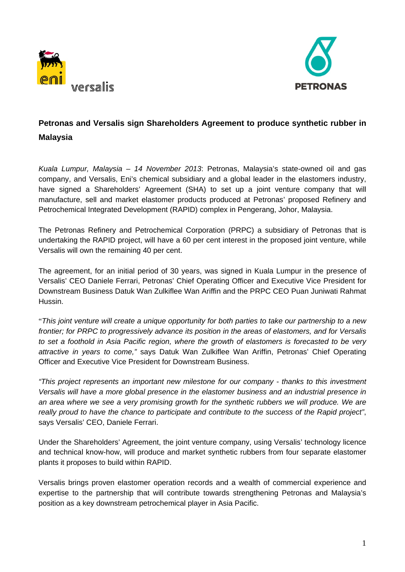



# **Petronas and Versalis sign Shareholders Agreement to produce synthetic rubber in Malaysia**

*Kuala Lumpur, Malaysia – 14 November 2013*: Petronas, Malaysia's state-owned oil and gas company, and Versalis, Eni's chemical subsidiary and a global leader in the elastomers industry, have signed a Shareholders' Agreement (SHA) to set up a joint venture company that will manufacture, sell and market elastomer products produced at Petronas' proposed Refinery and Petrochemical Integrated Development (RAPID) complex in Pengerang, Johor, Malaysia.

The Petronas Refinery and Petrochemical Corporation (PRPC) a subsidiary of Petronas that is undertaking the RAPID project, will have a 60 per cent interest in the proposed joint venture, while Versalis will own the remaining 40 per cent.

The agreement, for an initial period of 30 years, was signed in Kuala Lumpur in the presence of Versalis' CEO Daniele Ferrari, Petronas' Chief Operating Officer and Executive Vice President for Downstream Business Datuk Wan Zulkiflee Wan Ariffin and the PRPC CEO Puan Juniwati Rahmat Hussin.

"*This joint venture will create a unique opportunity for both parties to take our partnership to a new frontier; for PRPC to progressively advance its position in the areas of elastomers, and for Versalis to set a foothold in Asia Pacific region, where the growth of elastomers is forecasted to be very attractive in years to come,"* says Datuk Wan Zulkiflee Wan Ariffin, Petronas' Chief Operating Officer and Executive Vice President for Downstream Business.

*"This project represents an important new milestone for our company - thanks to this investment Versalis will have a more global presence in the elastomer business and an industrial presence in an area where we see a very promising growth for the synthetic rubbers we will produce. We are really proud to have the chance to participate and contribute to the success of the Rapid project"*, says Versalis' CEO, Daniele Ferrari.

Under the Shareholders' Agreement, the joint venture company, using Versalis' technology licence and technical know-how, will produce and market synthetic rubbers from four separate elastomer plants it proposes to build within RAPID.

Versalis brings proven elastomer operation records and a wealth of commercial experience and expertise to the partnership that will contribute towards strengthening Petronas and Malaysia's position as a key downstream petrochemical player in Asia Pacific.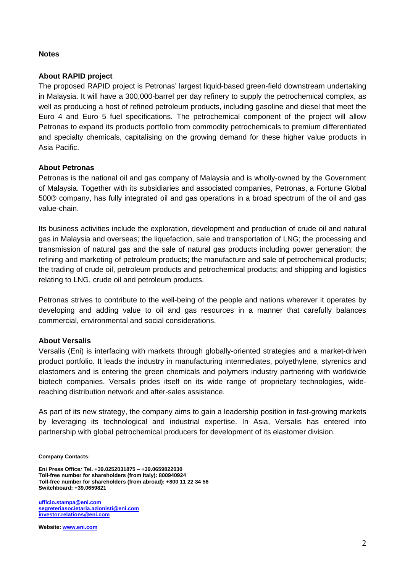## **Notes**

# **About RAPID project**

The proposed RAPID project is Petronas' largest liquid-based green-field downstream undertaking in Malaysia. It will have a 300,000-barrel per day refinery to supply the petrochemical complex, as well as producing a host of refined petroleum products, including gasoline and diesel that meet the Euro 4 and Euro 5 fuel specifications. The petrochemical component of the project will allow Petronas to expand its products portfolio from commodity petrochemicals to premium differentiated and specialty chemicals, capitalising on the growing demand for these higher value products in Asia Pacific.

## **About Petronas**

Petronas is the national oil and gas company of Malaysia and is wholly-owned by the Government of Malaysia. Together with its subsidiaries and associated companies, Petronas, a Fortune Global 500® company, has fully integrated oil and gas operations in a broad spectrum of the oil and gas value-chain.

Its business activities include the exploration, development and production of crude oil and natural gas in Malaysia and overseas; the liquefaction, sale and transportation of LNG; the processing and transmission of natural gas and the sale of natural gas products including power generation; the refining and marketing of petroleum products; the manufacture and sale of petrochemical products; the trading of crude oil, petroleum products and petrochemical products; and shipping and logistics relating to LNG, crude oil and petroleum products.

Petronas strives to contribute to the well-being of the people and nations wherever it operates by developing and adding value to oil and gas resources in a manner that carefully balances commercial, environmental and social considerations.

#### **About Versalis**

Versalis (Eni) is interfacing with markets through globally-oriented strategies and a market-driven product portfolio. It leads the industry in manufacturing intermediates, polyethylene, styrenics and elastomers and is entering the green chemicals and polymers industry partnering with worldwide biotech companies. Versalis prides itself on its wide range of proprietary technologies, widereaching distribution network and after-sales assistance.

As part of its new strategy, the company aims to gain a leadership position in fast-growing markets by leveraging its technological and industrial expertise. In Asia, Versalis has entered into partnership with global petrochemical producers for development of its elastomer division.

**Company Contacts:** 

**Eni Press Office***:* **Tel. +39.0252031875 – +39.0659822030 Toll-free number for shareholders (from Italy): 800940924 Toll-free number for shareholders (from abroad): +800 11 22 34 56 Switchboard: +39.0659821** 

**ufficio.stampa@eni.com segreteriasocietaria.azionisti@eni.com investor.relations@eni.com**

**Website: www.eni.com**